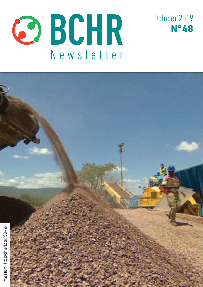



October 2019 **Nº 48**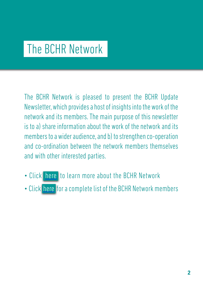## The BCHR Network

The BCHR Network is pleased to present the BCHR Update Newsletter, which provides a host of insights into the work of the network and its members. The main purpose of this newsletter is to a) share information about the work of the network and its members to a wider audience, and b) to strengthen co-operation and co-ordination between the network members themselves and with other interested parties.

- Click [here](http://www.networkbchr.org/) to learn more about the BCHR Network
- Click [here](http://www.networkbchr.org/#!join-the-network/c24vq) for a complete list of the BCHR Network members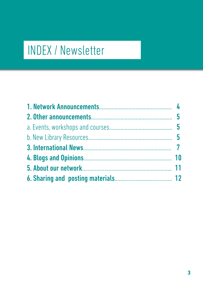# INDEX / Newsletter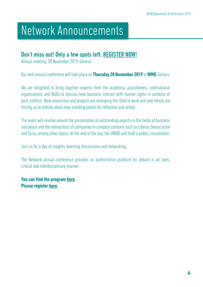## Network Announcements

### Don't miss out! Only a few spots left. [REGISTER NOW!](https://www.networkbchr.org/event-details/bchr-network-annual-meeting-2019)

Annual meeting, 28 November 2019, Geneva.

Our next annual conference will take place on **Thursday 28 November 2019** at **WMO**, Geneva.

We are delighted to bring together experts from the academia, practitioners, international organisations and NGOs to discuss how business interact with human rights in contexts of post-conflict. New researches and projects are reshaping this field of work and new trends are forcing us to rethink about new standing points for reflection and action.

The event will revolve around the presentation of outstanding experts in the fields of business and peace and the interactions of companies in complex contexts such as Liberia, Sierra Leone and Syria, among other topics. At the end of the day, the UNWG will hold a public consultation.

Join us for a day of insights, learning, discussions and networking.

The Network annual conference provides an authoritative platform for debate in an open, critical and interdisciplinary manner.

**You can find the program [here](https://www.networkbchr.org/event-details/bchr-network-annual-meeting-2019). Please register [here](https://www.networkbchr.org/event-details/bchr-network-annual-meeting-2019).**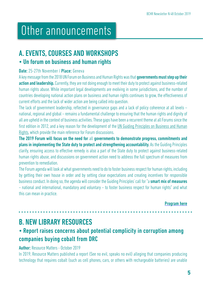## Other announcements

## A. EVENTS, COURSES AND WORKSHOPS

### • Un forum on business and human rights

### Date: 25-27th November / Place: Geneva

A key message from the 2018 UN Forum on Business and Human Rights was that governments must step up their action and leadership. Currently, they are not doing enough to meet their duty to protect against business-related human rights abuse. While important legal developments are evolving in some jurisdictions, and the number of countries developing national action plans on business and human rights continues to grow, the effectiveness of current efforts and the lack of wider action are being called into question.

The lack of government leadership, reflected in governance gaps and a lack of policy coherence at all levels – national, regional and global – remains a fundamental challenge to ensuring that the human rights and dignity of all are upheld in the context of business activities. These gaps have been a recurrent theme at all Forums since the first edition in 2012, and a key reason for the development of the [UN Guiding Principles on Business and Human](http://www.ohchr.org/Documents/Publications/GuidingPrinciplesBusinessHR_EN.pdf) [Rights](http://www.ohchr.org/Documents/Publications/GuidingPrinciplesBusinessHR_EN.pdf), which provide the main reference for Forum discussions.

The 2019 Forum will focus on the need for all governments to demonstrate progress, commitments and plans in implementing the State duty to protect and strengthening accountability. As the Guiding Principles clarify, ensuring access to effective remedy is also a part of the State duty to protect against business-related human rights abuse, and discussions on government action need to address the full spectrum of measures from prevention to remediation.

The Forum agenda will look at what governments need to do to foster business respect for human rights, including by getting their own house in order and by setting clear expectations and creating incentives for responsible business conduct. In doing so, the agenda will consider the Guiding Principles' call for "a **smart mix of measures** – national and international, mandatory and voluntary – to foster business respect for human rights" and what this can mean in practice.

Program [here](https://2019unforumbhr.sched.com/grid/)

## B. NEW LIBRARY RESOURCES

## • Report raises concerns about potential complicity in corruption among companies buying cobalt from DRC

### Author: Resource Matters - October 2019

In 2019, Resource Matters published a report (See no evil, speaks no evil) alleging that companies producing technology that requires cobalt (such as cell phones, cars, or others with rechargeable batteries) are unable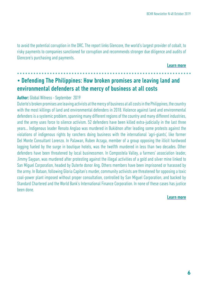to avoid the potential corruption in the DRC. The report links Glencore, the world's largest provider of cobalt, to risky payments to companies sanctioned for corruption and recommends stronger due diligence and audits of Glencore's purchasing and payments.

#### [Learn more](https://tinyurl.com/r9aph3r)

## • Defending The Philippines: How broken promises are leaving land and environmental defenders at the mercy of business at all costs

#### Author: Global Witness - September 2019

Duterte's broken promises are leaving activists at the mercy of business at all costs in the Philippines, the country with the most killings of land and environmental defenders in 2018. Violence against land and environmental defenders is a systemic problem, spanning many different regions of the country and many different industries, and the army uses force to silence activism. 52 defenders have been killed extra-judicially in the last three years... Indigenous leader Renato Anglao was murdered in Bukidnon after leading some protests against the violations of indigenous rights by ranchers doing business with the international 'agri-giants', like former Del Monte Consultant Lorenzo. In Palawan, Ruben Arzaga, member of a group opposing the illicit hardwood logging fueled by the surge in boutique hotels, was the twelfth murdered in less than two decades. Other defenders have been threatened by local businessmen. In Compostela Valley, a farmers' association leader, Jimmy Saypan, was murdered after protesting against the illegal activities of a gold and silver mine linked to San Miguel Corporation, headed by Duterte donor Ang. Others members have been imprisoned or harassed by the army. In Bataan, following Gloria Capitan's murder, community activists are threatened for opposing a toxic coal-power plant imposed without proper consultation, controlled by San Miguel Corporation, and backed by Standard Chartered and the World Bank's International Finance Corporation. In none of these cases has justice been done.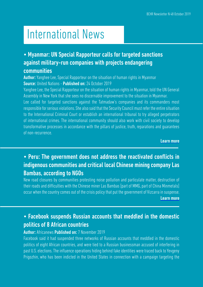# International News

## • Myanmar: UN Special Rapporteur calls for targeted sanctions against military-run companies with projects endangering communities

Author: Yanghee Lee, Special Rapporteur on the situation of human rights in Myanmar Source: United Nations - Published on: 24 October 2019

Yanghee Lee, the Special Rapporteur on the situation of human rights in Myanmar, told the UN General Assembly in New York that she sees no discernable improvement to the situation in Myanmar.

Lee called for targeted sanctions against the Tatmadaw's companies and its commanders most responsible for serious violations. She also said that the Security Council must refer the entire situation to the International Criminal Court or establish an international tribunal to try alleged perpetrators of international crimes. The international community should also work with civil society to develop transformative processes in accordance with the pillars of justice, truth, reparations and guarantees of non-recurrence.

[Learn more](https://tinyurl.com/w8pxvsq)

## • Peru: The government does not address the reactivated conflicts in indigenous communities and critical local Chinese mining company Las Bambas, according to NGOs

New road closures by communities protesting noise pollution and particulate matter, destruction of their roads and difficulties with the Chinese miner Las Bambas [part of MMG, part of China Minmetals] occur when the country comes out of the crisis policy that put the government of Vizcarra in suspense. [Learn more](https://tinyurl.com/ya9vuxc5)

## • Facebook suspends Russian accounts that meddled in the domestic politics of 8 African countries

#### Author: Africanews Published on: 7 November 2019

Facebook said it had suspended three networks of Russian accounts that meddled in the domestic politics of eight African countries, and were tied to a Russian businessman accused of interfering in past U.S. elections. The influence operations hiding behind fake identities were traced back to Yevgeny Prigozhin, who has been indicted in the United States in connection with a campaign targeting the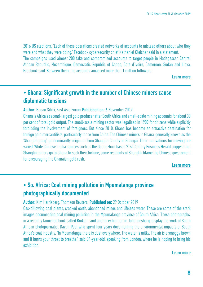2016 US elections. "Each of these operations created networks of accounts to mislead others about who they were and what they were doing," Facebook cybersecurity chief Nathaniel Gleicher said in a statement. The campaigns used almost 200 fake and compromised accounts to target people in Madagascar, Central African Republic, Mozambique, Democratic Republic of Congo, Cote d'Ivoire, Cameroon, Sudan and Libya,

#### [Learn more](https://tinyurl.com/ve66klk)

## • Ghana: Significant growth in the number of Chinese miners cause diplomatic tensions

Facebook said. Between them, the accounts amassed more than 1 million followers.

#### Author: Hagan Sibiri, East Asia Forum Published on: 6 November 2019

Ghana is Africa's second-largest gold producer after South Africa and small-scale mining accounts for about 30 per cent of total gold output. The small-scale mining sector was legalised in 1989 for citizens while explicitly forbidding the involvement of foreigners. But since 2010, Ghana has become an attractive destination for foreign gold mercantilists, particularly those from China. The Chinese miners in Ghana, generally known as the 'Shanglin gang', predominantly originate from Shanglin County in Guangxi. Their motivations for moving are varied. While Chinese media sources such as the Guangzhou-based 21st Century Business Herald suggest that Shanglin miners go to Ghana to seek their fortune, some residents of Shanglin blame the Chinese government for encouraging the Ghanaian gold rush.

#### [Learn more](https://tinyurl.com/ud3gwm2)

## • So. Africa: Coal mining pollution in Mpumalanga province photographically documented

#### Author: Kim Harrisberg, Thomson Reuters Published on: 29 October 2019

Gas-billowing coal plants, cracked earth, abandoned mines and lifeless water. These are some of the stark images documenting coal mining pollution in the Mpumalanga province of South Africa. These photographs, in a recently launched book called Broken Land and an exhibition in Johannesburg, display the work of South African photojournalist Daylin Paul who spent four years documenting the environmental impacts of South Africa's coal industry. "In Mpumalanga there is dust everywhere. The water is milky. The air is a smoggy brown and it burns your throat to breathe," said 34-year-old, speaking from London, where he is hoping to bring his exhibition.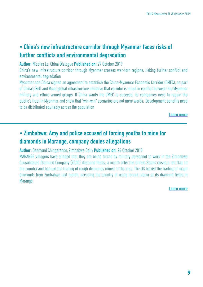## • China's new infrastructure corridor through Myanmar faces risks of further conflicts and environmental degradation

Author: Nicolas Lo, China Dialogue Published on: 29 October 2019

China's new infrastructure corridor through Myanmar crosses war-torn regions, risking further conflict and environmental degradation

Myanmar and China signed an agreement to establish the China-Myanmar Economic Corridor (CMEC), as part of China's Belt and Road global infrastructure initiative that corridor is mired in conflict between the Myanmar military and ethnic armed groups. If China wants the CMEC to succeed, its companies need to regain the public's trust in Myanmar and show that "win-win" scenarios are not mere words. Development benefits need to be distributed equitably across the population

[Learn more](https://tinyurl.com/uf3rblb)

## • Zimbabwe: Amy and police accused of forcing youths to mine for diamonds in Marange, company denies allegations

Author: Desmond Chingarande, Zimbabwe Daily Published on: 24 October 2019

MARANGE villagers have alleged that they are being forced by military personnel to work in the Zimbabwe Consolidated Diamond Company (ZCDC) diamond fields, a month after the United States raised a red flag on the country and banned the trading of rough diamonds mined in the area. The US barred the trading of rough diamonds from Zimbabwe last month, accusing the country of using forced labour at its diamond fields in Marange.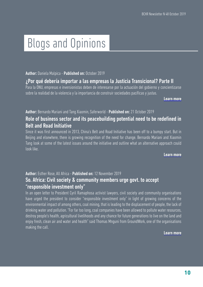# Blogs and Opinions

Author: Daniela Malpica - Published on: October 2019

### ¿Por qué debería importar a las empresas la Justicia Transicional? Parte II

Para la ONU, empresas e inversionistas deben de interesarse por la actuación del gobierno y concientizarse sobre la realidad de la violencia y la importancia de construir sociedades pacíficas y justas.

[Learn more](https://tinyurl.com/s4n46nu)

Author: Bernardo Mariani and Tang Xiaomin, Saferworld - Published on: 21 October 2019

### Role of business sector and its peacebuilding potential need to be redefined in Belt and Road Initiative

Since it was first announced in 2013, China's Belt and Road Initiative has been off to a bumpy start. But in Beijing and elsewhere, there is growing recognition of the need for change. Bernardo Mariani and Xiaomin Tang look at some of the latest issues around the initiative and outline what an alternative approach could look like.

#### [Learn more](https://tinyurl.com/twq2efx)

#### Author: Esther Rose, All Africa - Published on: 12 November 2019

### So. Africa: Civil society & community members urge govt. to accept "responsible investment only"

In an open letter to President Cyril Ramaphosa activist lawyers, civil society and community organisations have urged the president to consider "responsible investment only" in light of growing concerns of the environmental impact of among others, coal mining, that is leading to the displacement of people, the lack of drinking water and pollution. "For far too long, coal companies have been allowed to pollute water resources, destroy people's health, agricultural livelihoods and any chance for future generations to live on the land and enjoy fresh, clean air and water and health" said Thomas Mnguni from GroundWork, one of the organisations making the call.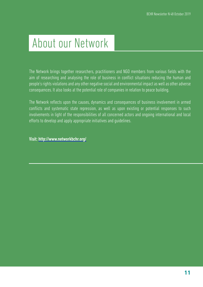# About our Network

The Network brings together researchers, practitioners and NGO members from various fields with the aim of researching and analysing the role of business in conflict situations reducing the human and people's rights violations and any other negative social and environmental impact as well as other adverse consequences. It also looks at the potential role of companies in relation to peace building.

The Network reflects upon the causes, dynamics and consequences of business involvement in armed conflicts and systematic state repression, as well as upon existing or potential responses to such involvements in light of the responsibilities of all concerned actors and ongoing international and local efforts to develop and apply appropriate initiatives and guidelines.

Visit: <http://www.networkbchr.org/>